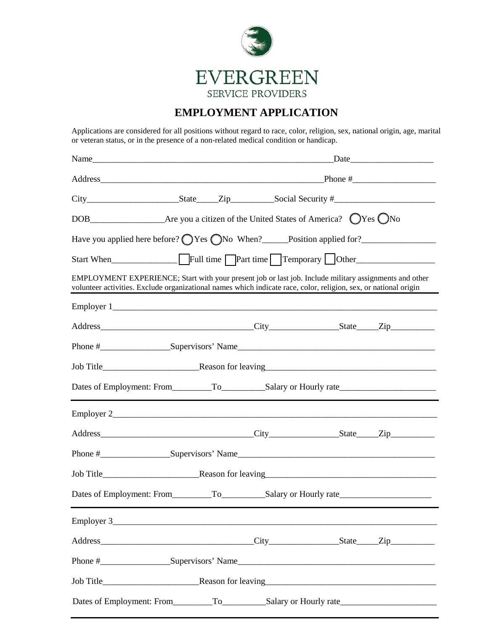

## **EMPLOYMENT APPLICATION**

Applications are considered for all positions without regard to race, color, religion, sex, national origin, age, marital or veteran status, or in the presence of a non-related medical condition or handicap.

| Name                                                                                                                                                                                                                       |  |  | Date |
|----------------------------------------------------------------------------------------------------------------------------------------------------------------------------------------------------------------------------|--|--|------|
|                                                                                                                                                                                                                            |  |  |      |
|                                                                                                                                                                                                                            |  |  |      |
|                                                                                                                                                                                                                            |  |  |      |
| Have you applied here before? O Yes ONo When? Position applied for?                                                                                                                                                        |  |  |      |
|                                                                                                                                                                                                                            |  |  |      |
| EMPLOYMENT EXPERIENCE; Start with your present job or last job. Include military assignments and other<br>volunteer activities. Exclude organizational names which indicate race, color, religion, sex, or national origin |  |  |      |
|                                                                                                                                                                                                                            |  |  |      |
|                                                                                                                                                                                                                            |  |  |      |
|                                                                                                                                                                                                                            |  |  |      |
|                                                                                                                                                                                                                            |  |  |      |
|                                                                                                                                                                                                                            |  |  |      |
|                                                                                                                                                                                                                            |  |  |      |
|                                                                                                                                                                                                                            |  |  |      |
|                                                                                                                                                                                                                            |  |  |      |
|                                                                                                                                                                                                                            |  |  |      |
|                                                                                                                                                                                                                            |  |  |      |
| Employer 3                                                                                                                                                                                                                 |  |  |      |
|                                                                                                                                                                                                                            |  |  |      |
|                                                                                                                                                                                                                            |  |  |      |
|                                                                                                                                                                                                                            |  |  |      |
|                                                                                                                                                                                                                            |  |  |      |